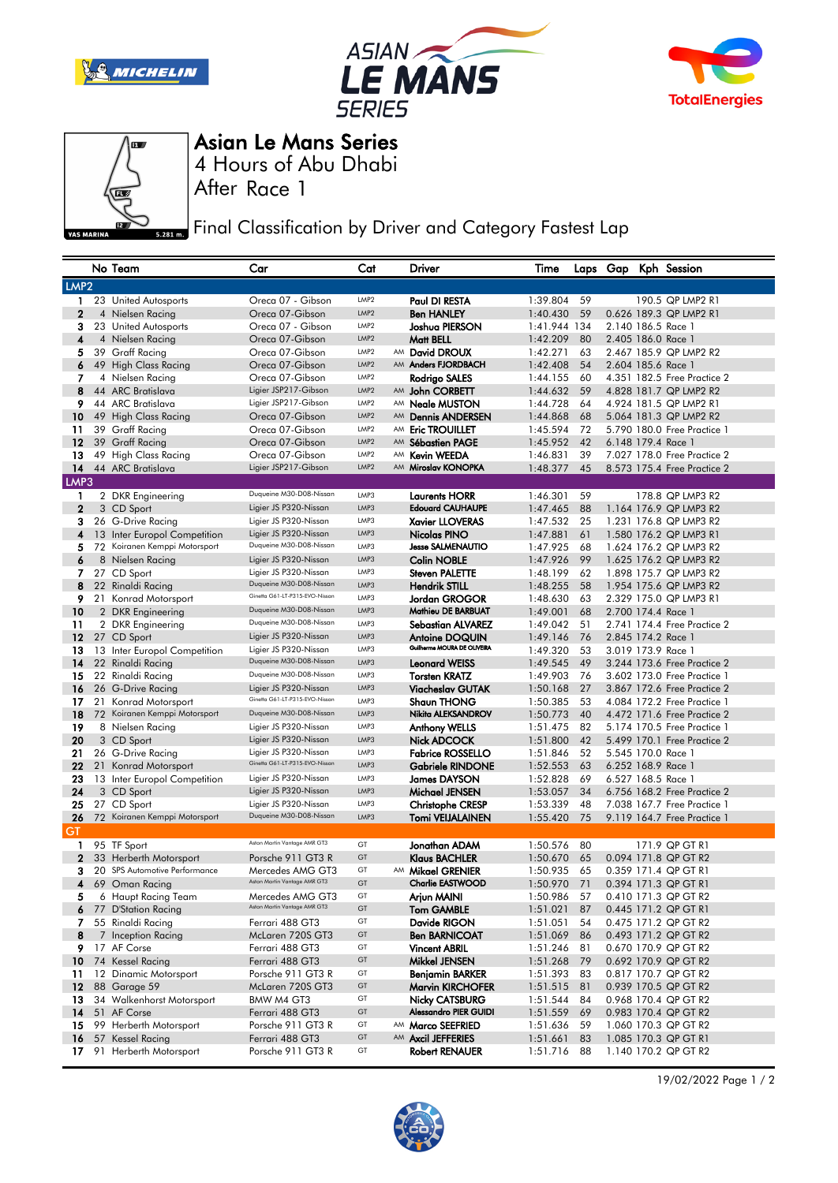







4 Hours of Abu Dhabi Asian Le Mans Series

After Race 1

**Final Classification by Driver and Category Fastest Lap** 

|                  |  | No Team                       | Car                            | Cat              |    | Driver                       | Time         |    |  | Laps Gap Kph Session        |
|------------------|--|-------------------------------|--------------------------------|------------------|----|------------------------------|--------------|----|--|-----------------------------|
| LMP <sub>2</sub> |  |                               |                                |                  |    |                              |              |    |  |                             |
| 1                |  | 23 United Autosports          | Oreca 07 - Gibson              | LMP <sub>2</sub> |    | Paul DI RESTA                | 1:39.804     | 59 |  | 190.5 QP LMP2 R1            |
| $\mathbf{2}$     |  | 4 Nielsen Racing              | Oreca 07-Gibson                | LMP <sub>2</sub> |    | <b>Ben HANLEY</b>            | 1:40.430     | 59 |  | 0.626 189.3 QP LMP2 R1      |
| з                |  | 23 United Autosports          | Oreca 07 - Gibson              | LMP <sub>2</sub> |    | Joshua PIERSON               | 1:41.944 134 |    |  | 2.140 186.5 Race 1          |
| 4                |  | 4 Nielsen Racing              | Oreca 07-Gibson                | LMP <sub>2</sub> |    | Matt BELL                    | 1:42.209     | 80 |  | 2.405 186.0 Race 1          |
| 5                |  | 39 Graff Racing               | Oreca 07-Gibson                | LMP <sub>2</sub> |    | AM David DROUX               | 1:42.271     | 63 |  | 2.467 185.9 QP LMP2 R2      |
| 6                |  | 49 High Class Racing          | Oreca 07-Gibson                | LMP2             |    | AM Anders FJORDBACH          | 1:42.408     | 54 |  | 2.604 185.6 Race 1          |
| 7                |  | 4 Nielsen Racing              | Oreca 07-Gibson                | LMP <sub>2</sub> |    | Rodrigo SALES                | 1:44.155     | 60 |  | 4.351 182.5 Free Practice 2 |
| 8                |  | 44 ARC Bratislava             | Ligier JSP217-Gibson           | LMP <sub>2</sub> |    | AM John CORBETT              | 1:44.632     | 59 |  | 4.828 181.7 QP LMP2 R2      |
| 9                |  | 44 ARC Bratislava             | Ligier JSP217-Gibson           | LMP <sub>2</sub> |    | AM Neale MUSTON              | 1:44.728     | 64 |  | 4.924 181.5 QP LMP2 R1      |
| 10               |  | 49 High Class Racing          | Oreca 07-Gibson                | LMP2             | AM | <b>Dennis ANDERSEN</b>       | 1:44.868     | 68 |  | 5.064 181.3 QP LMP2 R2      |
| 11               |  | 39 Graff Racing               | Oreca 07-Gibson                | LMP <sub>2</sub> | AM | <b>Eric TROUILLET</b>        | 1:45.594     | 72 |  | 5.790 180.0 Free Practice 1 |
| 12               |  | 39 Graff Racing               | Oreca 07-Gibson                | LMP2             | AM | <b>Sébastien PAGE</b>        | 1:45.952     | 42 |  | 6.148 179.4 Race 1          |
| 13               |  | 49 High Class Racing          | Oreca 07-Gibson                | LMP <sub>2</sub> | AM | <b>Kevin WEEDA</b>           | 1:46.831     | 39 |  | 7.027 178.0 Free Practice 2 |
| 14               |  | 44 ARC Bratislava             | Ligier JSP217-Gibson           | LMP <sub>2</sub> |    | AM Miroslav KONOPKA          | 1:48.377     | 45 |  | 8.573 175.4 Free Practice 2 |
| LMP3             |  |                               |                                |                  |    |                              |              |    |  |                             |
| 1                |  | 2 DKR Engineering             | Duqueine M30-D08-Nissan        | LMP3             |    | <b>Laurents HORR</b>         | 1:46.301     | 59 |  | 178.8 QP LMP3 R2            |
| $\mathbf{2}$     |  | 3 CD Sport                    | Ligier JS P320-Nissan          | LMP3             |    | <b>Edouard CAUHAUPE</b>      | 1:47.465     | 88 |  | 1.164 176.9 QP LMP3 R2      |
| 3                |  | 26 G-Drive Racing             | Ligier JS P320-Nissan          | LMP3             |    | <b>Xavier LLOVERAS</b>       | 1:47.532     | 25 |  | 1.231 176.8 QP LMP3 R2      |
| 4                |  | 13 Inter Europol Competition  | Ligier JS P320-Nissan          | LMP3             |    | Nicolas PINO                 | 1:47.881     | 61 |  | 1.580 176.2 QP LMP3 R1      |
| 5                |  | 72 Koiranen Kemppi Motorsport | Duqueine M30-D08-Nissan        | LMP3             |    | <b>Jesse SALMENAUTIO</b>     | 1:47.925     | 68 |  | 1.624 176.2 QP LMP3 R2      |
| 6                |  | 8 Nielsen Racing              | Ligier JS P320-Nissan          | LMP3             |    | <b>Colin NOBLE</b>           | 1:47.926     | 99 |  | 1.625 176.2 QP LMP3 R2      |
| 7                |  | 27 CD Sport                   | Ligier JS P320-Nissan          | LMP3             |    | <b>Steven PALETTE</b>        | 1:48.199     | 62 |  | 1.898 175.7 QP LMP3 R2      |
| 8                |  | 22 Rinaldi Racing             | Duqueine M30-D08-Nissan        | LMP3             |    | <b>Hendrik STILL</b>         | 1:48.255     | 58 |  | 1.954 175.6 QP LMP3 R2      |
| 9.               |  | 21 Konrad Motorsport          | Ginetta G61-LT-P315-EVO-Nissan | LMP3             |    | Jordan GROGOR                | 1:48.630     | 63 |  | 2.329 175.0 QP LMP3 R1      |
| 10               |  | 2 DKR Engineering             | Duqueine M30-D08-Nissan        | LMP3             |    | Mathieu DE BARBUAT           | 1:49.001     | 68 |  | 2.700 174.4 Race 1          |
| 11               |  | 2 DKR Engineering             | Duqueine M30-D08-Nissan        | LMP3             |    | <b>Sebastian ALVAREZ</b>     | 1:49.042     | 51 |  | 2.741 174.4 Free Practice 2 |
| $12 \,$          |  | 27 CD Sport                   | Ligier JS P320-Nissan          | LMP3             |    | <b>Antoine DOQUIN</b>        | 1:49.146     | 76 |  | 2.845 174.2 Race 1          |
| 13               |  | 13 Inter Europol Competition  | Ligier JS P320-Nissan          | LMP3             |    | Guilherme MOURA DE OLIVEIRA  | 1:49.320     | 53 |  | 3.019 173.9 Race 1          |
| 14               |  | 22 Rinaldi Racing             | Duqueine M30-D08-Nissan        | LMP3             |    | <b>Leonard WEISS</b>         | 1:49.545     | 49 |  | 3.244 173.6 Free Practice 2 |
| 15               |  | 22 Rinaldi Racing             | Duqueine M30-D08-Nissan        | LMP3             |    | <b>Torsten KRATZ</b>         | 1:49.903     | 76 |  | 3.602 173.0 Free Practice 1 |
| 16               |  | 26 G-Drive Racing             | Ligier JS P320-Nissan          | LMP3             |    | <b>Viacheslav GUTAK</b>      | 1:50.168     | 27 |  | 3.867 172.6 Free Practice 2 |
| 17               |  | 21 Konrad Motorsport          | Ginetta G61-LT-P315-EVO-Nissan | LMP3             |    | <b>Shaun THONG</b>           | 1:50.385     | 53 |  | 4.084 172.2 Free Practice 1 |
| 18               |  | 72 Koiranen Kemppi Motorsport | Duqueine M30-D08-Nissan        | LMP3             |    | Nikita ALEKSANDROV           | 1:50.773     | 40 |  | 4.472 171.6 Free Practice 2 |
| 19               |  | 8 Nielsen Racing              | Ligier JS P320-Nissan          | LMP3             |    | <b>Anthony WELLS</b>         | 1:51.475     | 82 |  | 5.174 170.5 Free Practice 1 |
| 20               |  | 3 CD Sport                    | Ligier JS P320-Nissan          | LMP3             |    | <b>Nick ADCOCK</b>           | 1:51.800     | 42 |  | 5.499 170.1 Free Practice 2 |
| 21               |  | 26 G-Drive Racing             | Ligier JS P320-Nissan          | LMP3             |    | <b>Fabrice ROSSELLO</b>      | 1:51.846     | 52 |  | 5.545 170.0 Race 1          |
| 22               |  | 21 Konrad Motorsport          | Ginetta G61-LT-P315-EVO-Nissan | LMP3             |    | <b>Gabriele RINDONE</b>      | 1:52.553     | 63 |  | 6.252 168.9 Race 1          |
| 23               |  | 13 Inter Europol Competition  | Ligier JS P320-Nissan          | LMP3             |    | <b>James DAYSON</b>          | 1:52.828     | 69 |  | 6.527 168.5 Race 1          |
| 24               |  | 3 CD Sport                    | Ligier JS P320-Nissan          | LMP3             |    | Michael JENSEN               | 1:53.057     | 34 |  | 6.756 168.2 Free Practice 2 |
| 25               |  | 27 CD Sport                   | Ligier JS P320-Nissan          | LMP3             |    | <b>Christophe CRESP</b>      | 1:53.339     | 48 |  | 7.038 167.7 Free Practice 1 |
| 26               |  | 72 Koiranen Kemppi Motorsport | Duqueine M30-D08-Nissan        | LMP3             |    | Tomi VEIJALAINEN             | 1:55.420     | 75 |  | 9.119 164.7 Free Practice 1 |
| GT               |  |                               |                                |                  |    |                              |              |    |  |                             |
| 1                |  | 95 TF Sport                   | Aston Martin Vantage AMR GT3   | GT               |    | Jonathan ADAM                | 1:50.576     | 80 |  | 171.9 QP GT R1              |
| $\mathbf{2}$     |  | 33 Herberth Motorsport        | Porsche 911 GT3 R              | GT               |    | <b>Klaus BACHLER</b>         | 1:50.670     | 65 |  | 0.094 171.8 QP GT R2        |
| з                |  | 20 SPS Automotive Performance | Mercedes AMG GT3               | GT               |    | AM Mikael GRENIER            | 1:50.935     | 65 |  | 0.359 171.4 QP GT R1        |
| 4                |  | 69 Oman Racing                | Aston Martin Vantage AMR GT3   | GT               |    | <b>Charlie EASTWOOD</b>      | 1:50.970     | 71 |  | 0.394 171.3 QP GT R1        |
| 5                |  | 6 Haupt Racing Team           | Mercedes AMG GT3               | GT               |    | Arjun MAINI                  | 1:50.986     | 57 |  | 0.410 171.3 QP GT R2        |
|                  |  | 6 77 D'Station Racing         | Aston Martin Vantage AMR GT3   | GT               |    | Tom GAMBLE                   | 1:51.021     | 87 |  | 0.445 171.2 QP GT R1        |
|                  |  | 7 55 Rinaldi Racing           | Ferrari 488 GT3                | GT               |    | Davide RIGON                 | 1:51.051     | 54 |  | 0.475 171.2 QP GT R2        |
| 8                |  | 7 Inception Racing            | McLaren 720S GT3               | GT               |    | <b>Ben BARNICOAT</b>         | 1:51.069     | 86 |  | 0.493 171.2 QP GT R2        |
|                  |  | 9 17 AF Corse                 | Ferrari 488 GT3                | GT               |    | <b>Vincent ABRIL</b>         | 1:51.246     | 81 |  | 0.670 170.9 QP GT R2        |
|                  |  | 10 74 Kessel Racing           | Ferrari 488 GT3                | GT               |    | <b>Mikkel JENSEN</b>         | 1:51.268     | 79 |  | 0.692 170.9 QP GT R2        |
|                  |  | 11 12 Dinamic Motorsport      | Porsche 911 GT3 R              | GT               |    | Benjamin BARKER              | 1:51.393 83  |    |  | 0.817 170.7 QP GT R2        |
|                  |  | <b>12</b> 88 Garage 59        | McLaren 720S GT3               | GT               |    | <b>Marvin KIRCHOFER</b>      | 1:51.515     | 81 |  | 0.939 170.5 QP GT R2        |
| 13               |  | 34 Walkenhorst Motorsport     | BMW M4 GT3                     | GT               |    | <b>Nicky CATSBURG</b>        | 1:51.544     | 84 |  | 0.968 170.4 QP GT R2        |
| 14               |  | 51 AF Corse                   | Ferrari 488 GT3                | GT               |    | <b>Alessandro PIER GUIDI</b> | 1:51.559     | 69 |  | 0.983 170.4 QP GT R2        |
| 15               |  | 99 Herberth Motorsport        | Porsche 911 GT3 R              | GT               |    | AM Marco SEEFRIED            | 1:51.636     | 59 |  | 1.060 170.3 QP GT R2        |
| 16               |  | 57 Kessel Racing              | Ferrari 488 GT3                | GT               |    | AM Axcil JEFFERIES           | 1:51.661     | 83 |  | 1.085 170.3 QP GT R1        |
| 17 <sub>1</sub>  |  | 91 Herberth Motorsport        | Porsche 911 GT3 R              | GT               |    | <b>Robert RENAUER</b>        | 1:51.716     | 88 |  | 1.140 170.2 QP GT R2        |